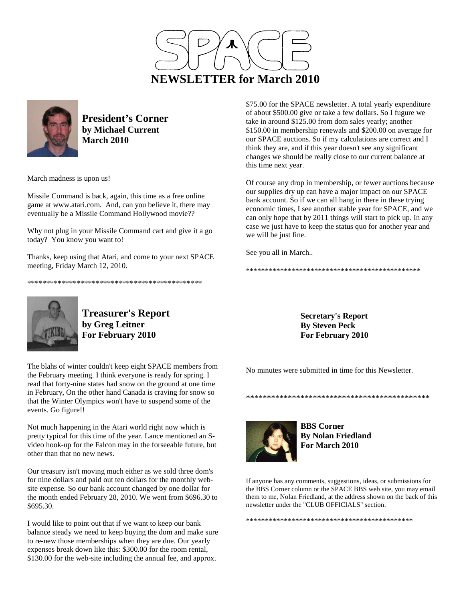



**President's Corner by Michael Current March 2010**

March madness is upon us!

Missile Command is back, again, this time as a free online game at www.atari.com. And, can you believe it, there may eventually be a Missile Command Hollywood movie??

Why not plug in your Missile Command cart and give it a go today? You know you want to!

Thanks, keep using that Atari, and come to your next SPACE meeting, Friday March 12, 2010.

\*\*\*\*\*\*\*\*\*\*\*\*\*\*\*\*\*\*\*\*\*\*\*\*\*\*\*\*\*\*\*\*\*\*\*\*\*\*\*\*\*\*\*\*\*\*



Of course any drop in membership, or fewer auctions because our supplies dry up can have a major impact on our SPACE bank account. So if we can all hang in there in these trying economic times, I see another stable year for SPACE, and we can only hope that by 2011 things will start to pick up. In any case we just have to keep the status quo for another year and we will be just fine.

See you all in March..

\*\*\*\*\*\*\*\*\*\*\*\*\*\*\*\*\*\*\*\*\*\*\*\*\*\*\*\*\*\*\*\*\*\*\*\*\*\*\*\*\*\*\*\*\*\*



**Treasurer's Report by Greg Leitner For February 2010** 

The blahs of winter couldn't keep eight SPACE members from the February meeting. I think everyone is ready for spring. I read that forty-nine states had snow on the ground at one time in February, On the other hand Canada is craving for snow so that the Winter Olympics won't have to suspend some of the events. Go figure!!

Not much happening in the Atari world right now which is pretty typical for this time of the year. Lance mentioned an Svideo hook-up for the Falcon may in the forseeable future, but other than that no new news.

Our treasury isn't moving much either as we sold three dom's for nine dollars and paid out ten dollars for the monthly website expense. So our bank account changed by one dollar for the month ended February 28, 2010. We went from \$696.30 to \$695.30.

I would like to point out that if we want to keep our bank balance steady we need to keep buying the dom and make sure to re-new those memberships when they are due. Our yearly expenses break down like this: \$300.00 for the room rental, \$130.00 for the web-site including the annual fee, and approx.

**Secretary's Report By Steven Peck For February 2010** 

No minutes were submitted in time for this Newsletter.



**By Nolan Friedland For March 2010** 

\*\*\*\*\*\*\*\*\*\*\*\*\*\*\*\*\*\*\*\*\*\*\*\*\*\*\*\*\*\*\*\*\*\*\*\*\*\*\*\*\*\*\*\*

If anyone has any comments, suggestions, ideas, or submissions for the BBS Corner column or the SPACE BBS web site, you may email them to me, Nolan Friedland, at the address shown on the back of this newsletter under the "CLUB OFFICIALS" section.

\*\*\*\*\*\*\*\*\*\*\*\*\*\*\*\*\*\*\*\*\*\*\*\*\*\*\*\*\*\*\*\*\*\*\*\*\*\*\*\*\*\*\*\*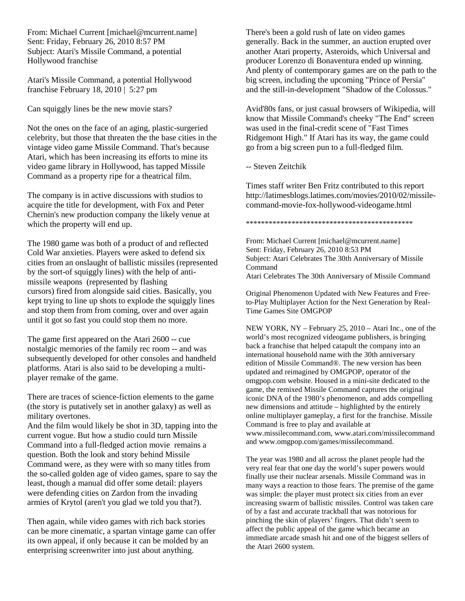From: Michael Current [michael@mcurrent.name] Sent: Friday, February 26, 2010 8:57 PM Subject: Atari's Missile Command, a potential Hollywood franchise

Atari's Missile Command, a potential Hollywood franchise February 18, 2010 | 5:27 pm

Can squiggly lines be the new movie stars?

Not the ones on the face of an aging, plastic-surgeried celebrity, but those that threaten the the base cities in the vintage video game Missile Command. That's because Atari, which has been increasing its efforts to mine its video game library in Hollywood, has tapped Missile Command as a property ripe for a theatrical film.

The company is in active discussions with studios to acquire the title for development, with Fox and Peter Chernin's new production company the likely venue at which the property will end up.

The 1980 game was both of a product of and reflected Cold War anxieties. Players were asked to defend six cities from an onslaught of ballistic missiles (represented by the sort-of squiggly lines) with the help of antimissile weapons (represented by flashing cursors) fired from alongside said cities. Basically, you kept trying to line up shots to explode the squiggly lines and stop them from from coming, over and over again until it got so fast you could stop them no more.

The game first appeared on the Atari 2600 -- cue nostalgic memories of the family rec room -- and was subsequently developed for other consoles and handheld platforms. Atari is also said to be developing a multiplayer remake of the game.

There are traces of science-fiction elements to the game (the story is putatively set in another galaxy) as well as military overtones.

And the film would likely be shot in 3D, tapping into the current vogue. But how a studio could turn Missile Command into a full-fledged action movie remains a question. Both the look and story behind Missile Command were, as they were with so many titles from the so-called golden age of video games, spare to say the least, though a manual did offer some detail: players were defending cities on Zardon from the invading armies of Krytol (aren't you glad we told you that?).

Then again, while video games with rich back stories can be more cinematic, a spartan vintage game can offer its own appeal, if only because it can be molded by an enterprising screenwriter into just about anything.

There's been a gold rush of late on video games generally. Back in the summer, an auction erupted over another Atari property, Asteroids, which Universal and producer Lorenzo di Bonaventura ended up winning. And plenty of contemporary games are on the path to the big screen, including the upcoming "Prince of Persia" and the still-in-development "Shadow of the Colossus."

Avid'80s fans, or just casual browsers of Wikipedia, will know that Missile Command's cheeky "The End" screen was used in the final-credit scene of "Fast Times Ridgemont High." If Atari has its way, the game could go from a big screen pun to a full-fledged film.

-- Steven Zeitchik

Times staff writer Ben Fritz contributed to this report http://latimesblogs.latimes.com/movies/2010/02/missilecommand-movie-fox-hollywood-videogame.html

\*\*\*\*\*\*\*\*\*\*\*\*\*\*\*\*\*\*\*\*\*\*\*\*\*\*\*\*\*\*\*\*\*\*\*\*\*\*\*\*\*\*\*\*

From: Michael Current [michael@mcurrent.name] Sent: Friday, February 26, 2010 8:53 PM Subject: Atari Celebrates The 30th Anniversary of Missile Command Atari Celebrates The 30th Anniversary of Missile Command

Original Phenomenon Updated with New Features and Freeto-Play Multiplayer Action for the Next Generation by Real-Time Games Site OMGPOP

NEW YORK, NY – February 25, 2010 – Atari Inc., one of the world's most recognized videogame publishers, is bringing back a franchise that helped catapult the company into an international household name with the 30th anniversary edition of Missile Command®. The new version has been updated and reimagined by OMGPOP, operator of the omgpop.com website. Housed in a mini-site dedicated to the game, the remixed Missile Command captures the original iconic DNA of the 1980's phenomenon, and adds compelling new dimensions and attitude – highlighted by the entirely online multiplayer gameplay, a first for the franchise. Missile Command is free to play and available at www.missilecommand.com, www.atari.com/missilecommand and www.omgpop.com/games/missilecommand.

The year was 1980 and all across the planet people had the very real fear that one day the world's super powers would finally use their nuclear arsenals. Missile Command was in many ways a reaction to those fears. The premise of the game was simple: the player must protect six cities from an ever increasing swarm of ballistic missiles. Control was taken care of by a fast and accurate trackball that was notorious for pinching the skin of players' fingers. That didn't seem to affect the public appeal of the game which became an immediate arcade smash hit and one of the biggest sellers of the Atari 2600 system.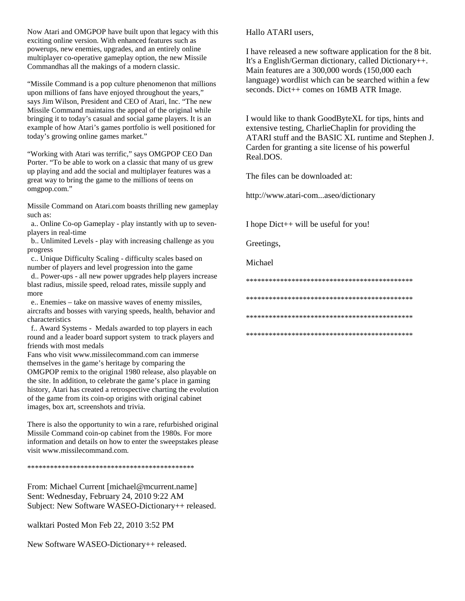Now Atari and OMGPOP have built upon that legacy with this exciting online version. With enhanced features such as powerups, new enemies, upgrades, and an entirely online multiplayer co-operative gameplay option, the new Missile Commandhas all the makings of a modern classic.

"Missile Command is a pop culture phenomenon that millions upon millions of fans have enjoyed throughout the years," says Jim Wilson, President and CEO of Atari, Inc. "The new Missile Command maintains the appeal of the original while bringing it to today's casual and social game players. It is an example of how Atari's games portfolio is well positioned for today's growing online games market."

"Working with Atari was terrific," says OMGPOP CEO Dan Porter. "To be able to work on a classic that many of us grew up playing and add the social and multiplayer features was a great way to bring the game to the millions of teens on omgpop.com."

Missile Command on Atari.com boasts thrilling new gameplay such as:

 a.. Online Co-op Gameplay - play instantly with up to sevenplayers in real-time

 b.. Unlimited Levels - play with increasing challenge as you progress

 c.. Unique Difficulty Scaling - difficulty scales based on number of players and level progression into the game

 d.. Power-ups - all new power upgrades help players increase blast radius, missile speed, reload rates, missile supply and more

 e.. Enemies – take on massive waves of enemy missiles, aircrafts and bosses with varying speeds, health, behavior and characteristics

 f.. Award Systems - Medals awarded to top players in each round and a leader board support system to track players and friends with most medals

Fans who visit www.missilecommand.com can immerse themselves in the game's heritage by comparing the OMGPOP remix to the original 1980 release, also playable on the site. In addition, to celebrate the game's place in gaming history, Atari has created a retrospective charting the evolution of the game from its coin-op origins with original cabinet images, box art, screenshots and trivia.

There is also the opportunity to win a rare, refurbished original Missile Command coin-op cabinet from the 1980s. For more information and details on how to enter the sweepstakes please visit www.missilecommand.com.

\*\*\*\*\*\*\*\*\*\*\*\*\*\*\*\*\*\*\*\*\*\*\*\*\*\*\*\*\*\*\*\*\*\*\*\*\*\*\*\*\*\*\*\*

From: Michael Current [michael@mcurrent.name] Sent: Wednesday, February 24, 2010 9:22 AM Subject: New Software WASEO-Dictionary++ released.

walktari Posted Mon Feb 22, 2010 3:52 PM

New Software WASEO-Dictionary++ released.

Hallo ATARI users,

I have released a new software application for the 8 bit. It's a English/German dictionary, called Dictionary++. Main features are a 300,000 words (150,000 each language) wordlist which can be searched within a few seconds. Dict++ comes on 16MB ATR Image.

I would like to thank GoodByteXL for tips, hints and extensive testing, CharlieChaplin for providing the ATARI stuff and the BASIC XL runtime and Stephen J. Carden for granting a site license of his powerful Real.DOS.

The files can be downloaded at:

http://www.atari-com...aseo/dictionary

I hope Dict++ will be useful for you!

Greetings,

Michael

\*\*\*\*\*\*\*\*\*\*\*\*\*\*\*\*\*\*\*\*\*\*\*\*\*\*\*\*\*\*\*\*\*\*\*\*\*\*\*\*\*\*\*\*

\*\*\*\*\*\*\*\*\*\*\*\*\*\*\*\*\*\*\*\*\*\*\*\*\*\*\*\*\*\*\*\*\*\*\*\*\*\*\*\*\*\*\*\*

\*\*\*\*\*\*\*\*\*\*\*\*\*\*\*\*\*\*\*\*\*\*\*\*\*\*\*\*\*\*\*\*\*\*\*\*\*\*\*\*\*\*\*\*

\*\*\*\*\*\*\*\*\*\*\*\*\*\*\*\*\*\*\*\*\*\*\*\*\*\*\*\*\*\*\*\*\*\*\*\*\*\*\*\*\*\*\*\*